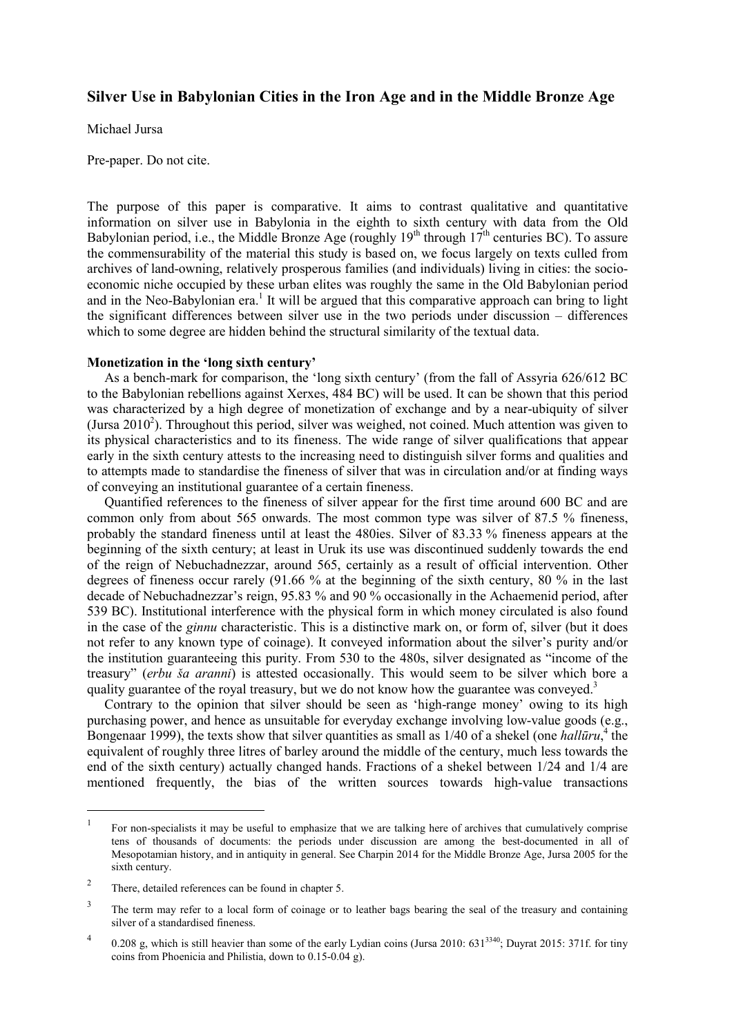# **Silver Use in Babylonian Cities in the Iron Age and in the Middle Bronze Age**

Michael Jursa

Pre-paper. Do not cite.

The purpose of this paper is comparative. It aims to contrast qualitative and quantitative information on silver use in Babylonia in the eighth to sixth century with data from the Old Babylonian period, i.e., the Middle Bronze Age (roughly 19<sup>th</sup> through 17<sup>th</sup> centuries BC). To assure the commensurability of the material this study is based on, we focus largely on texts culled from archives of land-owning, relatively prosperous families (and individuals) living in cities: the socioeconomic niche occupied by these urban elites was roughly the same in the Old Babylonian period and in the Neo-Babylonian era.<sup>1</sup> It will be argued that this comparative approach can bring to light the significant differences between silver use in the two periods under discussion – differences which to some degree are hidden behind the structural similarity of the textual data.

### **Monetization in the 'long sixth century'**

As a bench-mark for comparison, the 'long sixth century' (from the fall of Assyria 626/612 BC to the Babylonian rebellions against Xerxes, 484 BC) will be used. It can be shown that this period was characterized by a high degree of monetization of exchange and by a near-ubiquity of silver (Jursa 2010<sup>2</sup>). Throughout this period, silver was weighed, not coined. Much attention was given to its physical characteristics and to its fineness. The wide range of silver qualifications that appear early in the sixth century attests to the increasing need to distinguish silver forms and qualities and to attempts made to standardise the fineness of silver that was in circulation and/or at finding ways of conveying an institutional guarantee of a certain fineness.

Quantified references to the fineness of silver appear for the first time around 600 BC and are common only from about 565 onwards. The most common type was silver of 87.5 % fineness. probably the standard fineness until at least the 480ies. Silver of 83.33 % fineness appears at the beginning of the sixth century; at least in Uruk its use was discontinued suddenly towards the end of the reign of Nebuchadnezzar, around 565, certainly as a result of official intervention. Other degrees of fineness occur rarely (91.66 % at the beginning of the sixth century, 80 % in the last decade of Nebuchadnezzar's reign, 95.83 % and 90 % occasionally in the Achaemenid period, after 539 BC). Institutional interference with the physical form in which money circulated is also found in the case of the *ginnu* characteristic. This is a distinctive mark on, or form of, silver (but it does not refer to any known type of coinage). It conveyed information about the silver's purity and/or the institution guaranteeing this purity. From 530 to the 480s, silver designated as "income of the treasury" (*erbu ša aranni*) is attested occasionally. This would seem to be silver which bore a quality guarantee of the royal treasury, but we do not know how the guarantee was conveyed.<sup>3</sup>

Contrary to the opinion that silver should be seen as 'high-range money' owing to its high purchasing power, and hence as unsuitable for everyday exchange involving low-value goods (e.g., Bongenaar 1999), the texts show that silver quantities as small as  $1/40$  of a shekel (one *hallūru*,  $4$  the equivalent of roughly three litres of barley around the middle of the century, much less towards the end of the sixth century) actually changed hands. Fractions of a shekel between 1/24 and 1/4 are mentioned frequently, the bias of the written sources towards high-value transactions

<sup>1</sup> For non-specialists it may be useful to emphasize that we are talking here of archives that cumulatively comprise tens of thousands of documents: the periods under discussion are among the best-documented in all of Mesopotamian history, and in antiquity in general. See Charpin 2014 for the Middle Bronze Age, Jursa 2005 for the sixth century.

<sup>2</sup> There, detailed references can be found in chapter 5.

<sup>3</sup> The term may refer to a local form of coinage or to leather bags bearing the seal of the treasury and containing silver of a standardised fineness.

<sup>4</sup> 0.208 g, which is still heavier than some of the early Lydian coins (Jursa 2010:  $631^{3340}$ ; Duyrat 2015: 371f. for tiny coins from Phoenicia and Philistia, down to 0.15-0.04 g).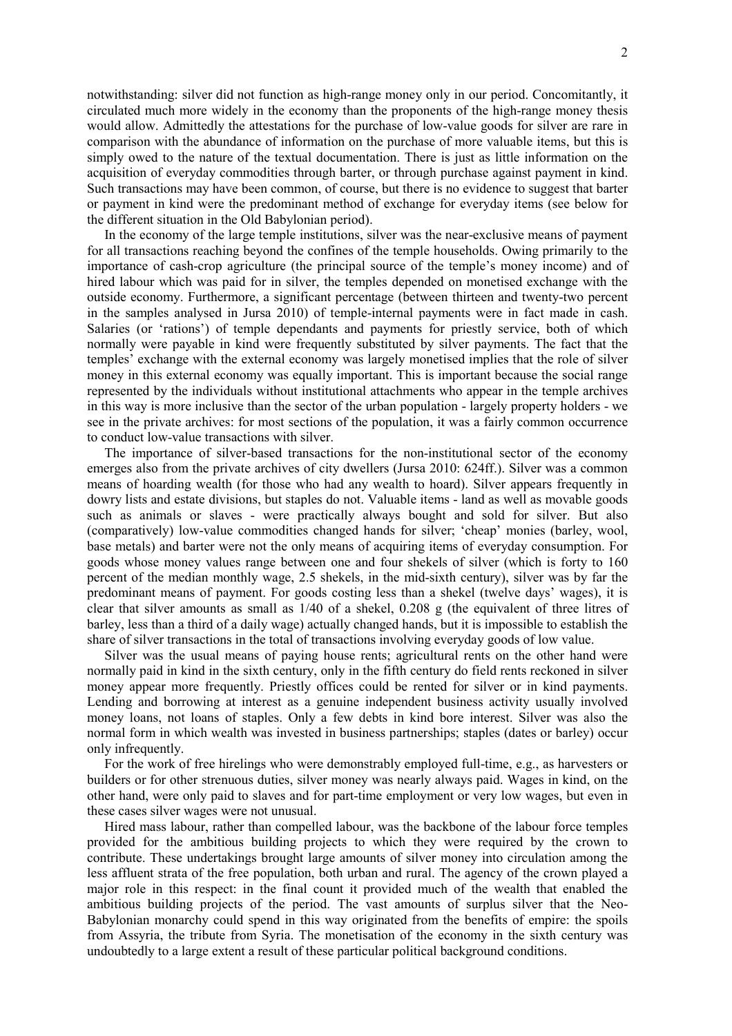notwithstanding: silver did not function as high-range money only in our period. Concomitantly, it circulated much more widely in the economy than the proponents of the high-range money thesis would allow. Admittedly the attestations for the purchase of low-value goods for silver are rare in comparison with the abundance of information on the purchase of more valuable items, but this is simply owed to the nature of the textual documentation. There is just as little information on the acquisition of everyday commodities through barter, or through purchase against payment in kind. Such transactions may have been common, of course, but there is no evidence to suggest that barter or payment in kind were the predominant method of exchange for everyday items (see below for the different situation in the Old Babylonian period).

In the economy of the large temple institutions, silver was the near-exclusive means of payment for all transactions reaching beyond the confines of the temple households. Owing primarily to the importance of cash-crop agriculture (the principal source of the temple's money income) and of hired labour which was paid for in silver, the temples depended on monetised exchange with the outside economy. Furthermore, a significant percentage (between thirteen and twenty-two percent in the samples analysed in Jursa 2010) of temple-internal payments were in fact made in cash. Salaries (or 'rations') of temple dependants and payments for priestly service, both of which normally were payable in kind were frequently substituted by silver payments. The fact that the temples' exchange with the external economy was largely monetised implies that the role of silver money in this external economy was equally important. This is important because the social range represented by the individuals without institutional attachments who appear in the temple archives in this way is more inclusive than the sector of the urban population - largely property holders - we see in the private archives: for most sections of the population, it was a fairly common occurrence to conduct low-value transactions with silver.

The importance of silver-based transactions for the non-institutional sector of the economy emerges also from the private archives of city dwellers (Jursa 2010: 624ff.). Silver was a common means of hoarding wealth (for those who had any wealth to hoard). Silver appears frequently in dowry lists and estate divisions, but staples do not. Valuable items - land as well as movable goods such as animals or slaves - were practically always bought and sold for silver. But also (comparatively) low-value commodities changed hands for silver; 'cheap' monies (barley, wool, base metals) and barter were not the only means of acquiring items of everyday consumption. For goods whose money values range between one and four shekels of silver (which is forty to 160 percent of the median monthly wage, 2.5 shekels, in the mid-sixth century), silver was by far the predominant means of payment. For goods costing less than a shekel (twelve days' wages), it is clear that silver amounts as small as  $1/40$  of a shekel, 0.208 g (the equivalent of three litres of barley, less than a third of a daily wage) actually changed hands, but it is impossible to establish the share of silver transactions in the total of transactions involving everyday goods of low value.

Silver was the usual means of paying house rents; agricultural rents on the other hand were normally paid in kind in the sixth century, only in the fifth century do field rents reckoned in silver money appear more frequently. Priestly offices could be rented for silver or in kind payments. Lending and borrowing at interest as a genuine independent business activity usually involved money loans, not loans of staples. Only a few debts in kind bore interest. Silver was also the normal form in which wealth was invested in business partnerships; staples (dates or barley) occur only infrequently.

For the work of free hirelings who were demonstrably employed full-time, e.g., as harvesters or builders or for other strenuous duties, silver money was nearly always paid. Wages in kind, on the other hand, were only paid to slaves and for part-time employment or very low wages, but even in these cases silver wages were not unusual.

Hired mass labour, rather than compelled labour, was the backbone of the labour force temples provided for the ambitious building projects to which they were required by the crown to contribute. These undertakings brought large amounts of silver money into circulation among the less affluent strata of the free population, both urban and rural. The agency of the crown played a major role in this respect: in the final count it provided much of the wealth that enabled the ambitious building projects of the period. The vast amounts of surplus silver that the Neo-Babylonian monarchy could spend in this way originated from the benefits of empire: the spoils from Assyria, the tribute from Syria. The monetisation of the economy in the sixth century was undoubtedly to a large extent a result of these particular political background conditions.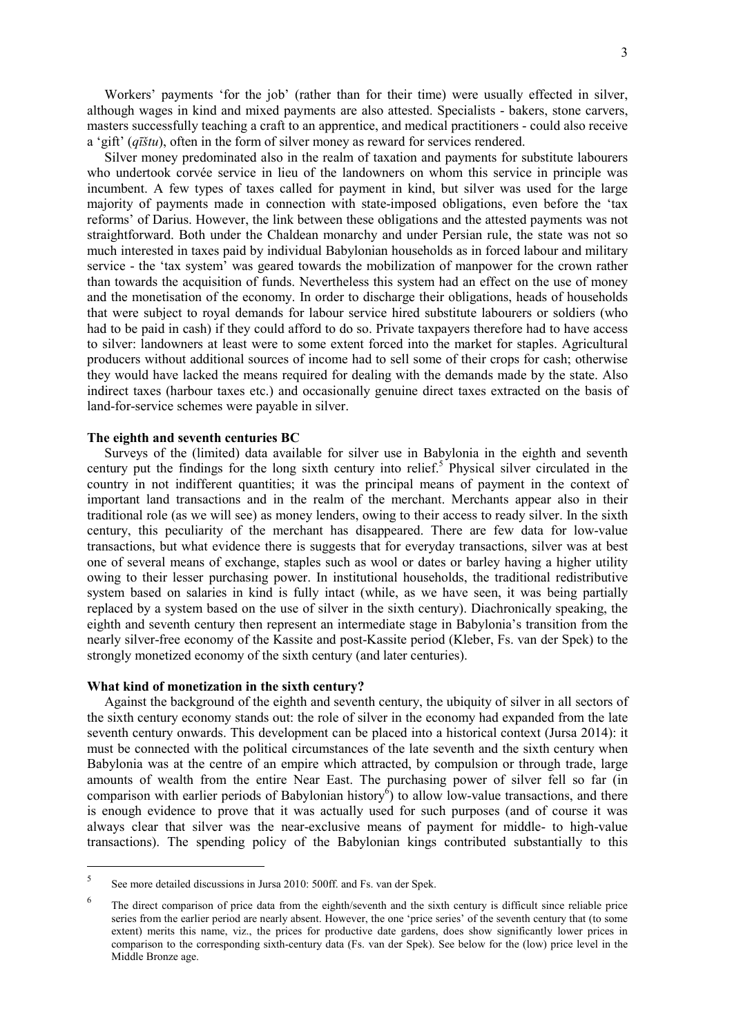Workers' payments 'for the job' (rather than for their time) were usually effected in silver, although wages in kind and mixed payments are also attested. Specialists - bakers, stone carvers, masters successfully teaching a craft to an apprentice, and medical practitioners - could also receive a 'gift' (*qīštu*), often in the form of silver money as reward for services rendered.

Silver money predominated also in the realm of taxation and payments for substitute labourers who undertook corvée service in lieu of the landowners on whom this service in principle was incumbent. A few types of taxes called for payment in kind, but silver was used for the large majority of payments made in connection with state-imposed obligations, even before the 'tax reforms' of Darius. However, the link between these obligations and the attested payments was not straightforward. Both under the Chaldean monarchy and under Persian rule, the state was not so much interested in taxes paid by individual Babylonian households as in forced labour and military service - the 'tax system' was geared towards the mobilization of manpower for the crown rather than towards the acquisition of funds. Nevertheless this system had an effect on the use of money and the monetisation of the economy. In order to discharge their obligations, heads of households that were subject to royal demands for labour service hired substitute labourers or soldiers (who had to be paid in cash) if they could afford to do so. Private taxpayers therefore had to have access to silver: landowners at least were to some extent forced into the market for staples. Agricultural producers without additional sources of income had to sell some of their crops for cash; otherwise they would have lacked the means required for dealing with the demands made by the state. Also indirect taxes (harbour taxes etc.) and occasionally genuine direct taxes extracted on the basis of land-for-service schemes were payable in silver.

### **The eighth and seventh centuries BC**

Surveys of the (limited) data available for silver use in Babylonia in the eighth and seventh century put the findings for the long sixth century into relief.<sup>5</sup> Physical silver circulated in the country in not indifferent quantities; it was the principal means of payment in the context of important land transactions and in the realm of the merchant. Merchants appear also in their traditional role (as we will see) as money lenders, owing to their access to ready silver. In the sixth century, this peculiarity of the merchant has disappeared. There are few data for low-value transactions, but what evidence there is suggests that for everyday transactions, silver was at best one of several means of exchange, staples such as wool or dates or barley having a higher utility owing to their lesser purchasing power. In institutional households, the traditional redistributive system based on salaries in kind is fully intact (while, as we have seen, it was being partially replaced by a system based on the use of silver in the sixth century). Diachronically speaking, the eighth and seventh century then represent an intermediate stage in Babylonia's transition from the nearly silver-free economy of the Kassite and post-Kassite period (Kleber, Fs. van der Spek) to the strongly monetized economy of the sixth century (and later centuries).

### **What kind of monetization in the sixth century?**

j

Against the background of the eighth and seventh century, the ubiquity of silver in all sectors of the sixth century economy stands out: the role of silver in the economy had expanded from the late seventh century onwards. This development can be placed into a historical context (Jursa 2014): it must be connected with the political circumstances of the late seventh and the sixth century when Babylonia was at the centre of an empire which attracted, by compulsion or through trade, large amounts of wealth from the entire Near East. The purchasing power of silver fell so far (in comparison with earlier periods of Babylonian history<sup>6</sup>) to allow low-value transactions, and there is enough evidence to prove that it was actually used for such purposes (and of course it was always clear that silver was the near-exclusive means of payment for middle- to high-value transactions). The spending policy of the Babylonian kings contributed substantially to this

<sup>5</sup> See more detailed discussions in Jursa 2010: 500ff. and Fs. van der Spek.

<sup>6</sup> The direct comparison of price data from the eighth/seventh and the sixth century is difficult since reliable price series from the earlier period are nearly absent. However, the one 'price series' of the seventh century that (to some extent) merits this name, viz., the prices for productive date gardens, does show significantly lower prices in comparison to the corresponding sixth-century data (Fs. van der Spek). See below for the (low) price level in the Middle Bronze age.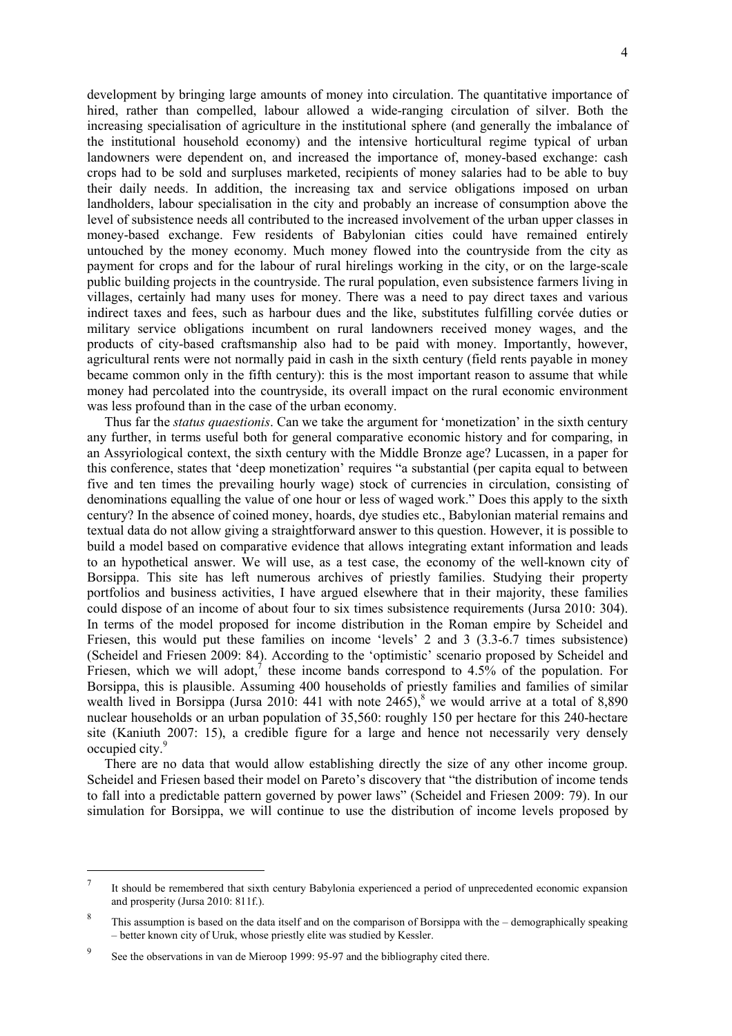development by bringing large amounts of money into circulation. The quantitative importance of hired, rather than compelled, labour allowed a wide-ranging circulation of silver. Both the increasing specialisation of agriculture in the institutional sphere (and generally the imbalance of the institutional household economy) and the intensive horticultural regime typical of urban landowners were dependent on, and increased the importance of, money-based exchange: cash crops had to be sold and surpluses marketed, recipients of money salaries had to be able to buy their daily needs. In addition, the increasing tax and service obligations imposed on urban landholders, labour specialisation in the city and probably an increase of consumption above the level of subsistence needs all contributed to the increased involvement of the urban upper classes in money-based exchange. Few residents of Babylonian cities could have remained entirely untouched by the money economy. Much money flowed into the countryside from the city as payment for crops and for the labour of rural hirelings working in the city, or on the large-scale public building projects in the countryside. The rural population, even subsistence farmers living in villages, certainly had many uses for money. There was a need to pay direct taxes and various indirect taxes and fees, such as harbour dues and the like, substitutes fulfilling corvée duties or military service obligations incumbent on rural landowners received money wages, and the products of city-based craftsmanship also had to be paid with money. Importantly, however, agricultural rents were not normally paid in cash in the sixth century (field rents payable in money became common only in the fifth century): this is the most important reason to assume that while money had percolated into the countryside, its overall impact on the rural economic environment was less profound than in the case of the urban economy.

Thus far the *status quaestionis*. Can we take the argument for 'monetization' in the sixth century any further, in terms useful both for general comparative economic history and for comparing, in an Assyriological context, the sixth century with the Middle Bronze age? Lucassen, in a paper for this conference, states that 'deep monetization' requires "a substantial (per capita equal to between five and ten times the prevailing hourly wage) stock of currencies in circulation, consisting of denominations equalling the value of one hour or less of waged work." Does this apply to the sixth century? In the absence of coined money, hoards, dye studies etc., Babylonian material remains and textual data do not allow giving a straightforward answer to this question. However, it is possible to build a model based on comparative evidence that allows integrating extant information and leads to an hypothetical answer. We will use, as a test case, the economy of the well-known city of Borsippa. This site has left numerous archives of priestly families. Studying their property portfolios and business activities, I have argued elsewhere that in their majority, these families could dispose of an income of about four to six times subsistence requirements (Jursa 2010: 304). In terms of the model proposed for income distribution in the Roman empire by Scheidel and Friesen, this would put these families on income 'levels' 2 and 3 (3.3-6.7 times subsistence) (Scheidel and Friesen 2009: 84). According to the 'optimistic' scenario proposed by Scheidel and Friesen, which we will adopt, these income bands correspond to 4.5% of the population. For Borsippa, this is plausible. Assuming 400 households of priestly families and families of similar wealth lived in Borsippa (Jursa 2010: 441 with note  $2465$ ),<sup>8</sup> we would arrive at a total of 8,890 nuclear households or an urban population of 35,560: roughly 150 per hectare for this 240-hectare site (Kaniuth 2007: 15), a credible figure for a large and hence not necessarily very densely occupied city.<sup>9</sup>

There are no data that would allow establishing directly the size of any other income group. Scheidel and Friesen based their model on Pareto's discovery that "the distribution of income tends to fall into a predictable pattern governed by power laws" (Scheidel and Friesen 2009: 79). In our simulation for Borsippa, we will continue to use the distribution of income levels proposed by

<sup>7</sup> It should be remembered that sixth century Babylonia experienced a period of unprecedented economic expansion and prosperity (Jursa 2010: 811f.).

<sup>8</sup> This assumption is based on the data itself and on the comparison of Borsippa with the – demographically speaking – better known city of Uruk, whose priestly elite was studied by Kessler.

<sup>9</sup> See the observations in van de Mieroop 1999: 95-97 and the bibliography cited there.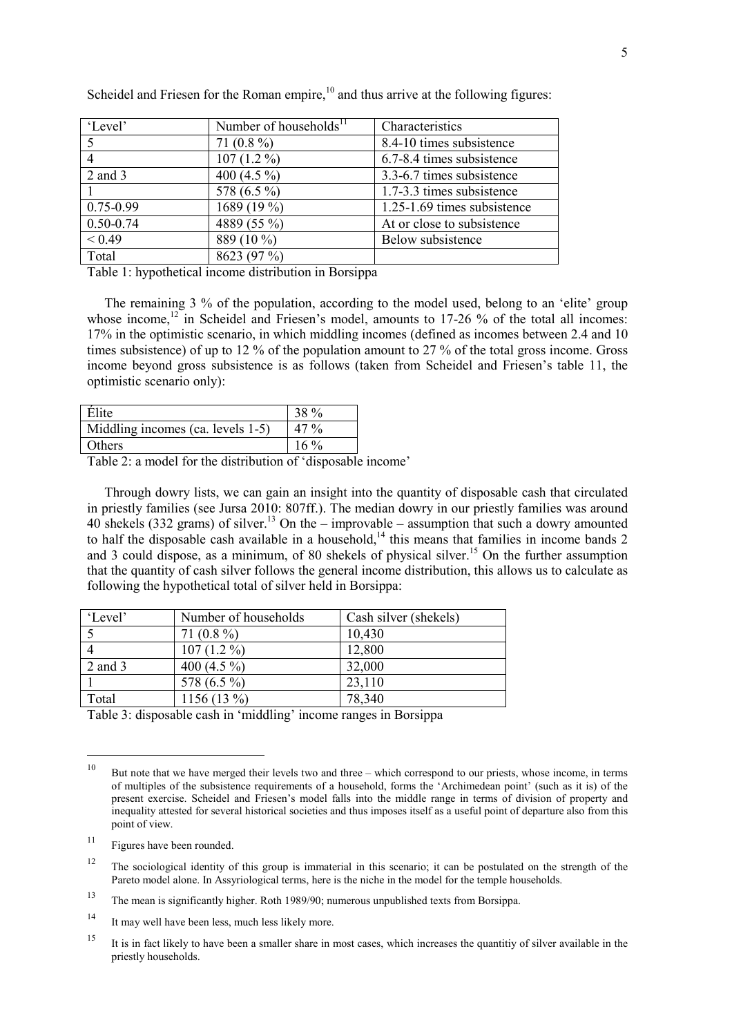| 'Level'       | Number of households $^{11}$ | Characteristics             |
|---------------|------------------------------|-----------------------------|
|               | 71 $(0.8\%)$                 | 8.4-10 times subsistence    |
|               | $107(1.2\%)$                 | 6.7-8.4 times subsistence   |
| $2$ and $3$   | 400 (4.5 $\%$ )              | 3.3-6.7 times subsistence   |
|               | 578 (6.5 %)                  | 1.7-3.3 times subsistence   |
| $0.75 - 0.99$ | 1689 (19 %)                  | 1.25-1.69 times subsistence |
| $0.50 - 0.74$ | 4889 (55 %)                  | At or close to subsistence  |
| ${}_{0.49}$   | 889 (10 %)                   | Below subsistence           |
| Total         | 8623 (97 %)                  |                             |

Scheidel and Friesen for the Roman empire, $10$  and thus arrive at the following figures:

Table 1: hypothetical income distribution in Borsippa

The remaining 3 % of the population, according to the model used, belong to an 'elite' group whose income,<sup>12</sup> in Scheidel and Friesen's model, amounts to 17-26 % of the total all incomes: 17% in the optimistic scenario, in which middling incomes (defined as incomes between 2.4 and 10 times subsistence) of up to 12 % of the population amount to 27 % of the total gross income. Gross income beyond gross subsistence is as follows (taken from Scheidel and Friesen's table 11, the optimistic scenario only):

| Elite                             | 38 %   |
|-----------------------------------|--------|
| Middling incomes (ca. levels 1-5) | $47\%$ |
| Others                            | $16\%$ |

Table 2: a model for the distribution of 'disposable income'

Through dowry lists, we can gain an insight into the quantity of disposable cash that circulated in priestly families (see Jursa 2010: 807ff.). The median dowry in our priestly families was around 40 shekels (332 grams) of silver.<sup>13</sup> On the – improvable – assumption that such a dowry amounted to half the disposable cash available in a household,<sup>14</sup> this means that families in income bands 2 and 3 could dispose, as a minimum, of 80 shekels of physical silver.<sup>15</sup> On the further assumption that the quantity of cash silver follows the general income distribution, this allows us to calculate as following the hypothetical total of silver held in Borsippa:

| 'Level'     | Number of households | Cash silver (shekels) |
|-------------|----------------------|-----------------------|
|             | 71 $(0.8\%)$         | 10,430                |
|             | $107(1.2\%)$         | 12,800                |
| $2$ and $3$ | 400 (4.5 $\%$ )      | 32,000                |
|             | 578 (6.5 %)          | 23,110                |
| Total       | $1156(13\%)$         | 78,340                |

Table 3: disposable cash in 'middling' income ranges in Borsippa

<sup>&</sup>lt;sup>10</sup> But note that we have merged their levels two and three – which correspond to our priests, whose income, in terms of multiples of the subsistence requirements of a household, forms the 'Archimedean point' (such as it is) of the present exercise. Scheidel and Friesen's model falls into the middle range in terms of division of property and inequality attested for several historical societies and thus imposes itself as a useful point of departure also from this point of view.

<sup>&</sup>lt;sup>11</sup> Figures have been rounded.

<sup>&</sup>lt;sup>12</sup> The sociological identity of this group is immaterial in this scenario; it can be postulated on the strength of the Pareto model alone. In Assyriological terms, here is the niche in the model for the temple households.

<sup>&</sup>lt;sup>13</sup> The mean is significantly higher. Roth 1989/90; numerous unpublished texts from Borsippa.

<sup>&</sup>lt;sup>14</sup> It may well have been less, much less likely more.

<sup>&</sup>lt;sup>15</sup> It is in fact likely to have been a smaller share in most cases, which increases the quantitiy of silver available in the priestly households.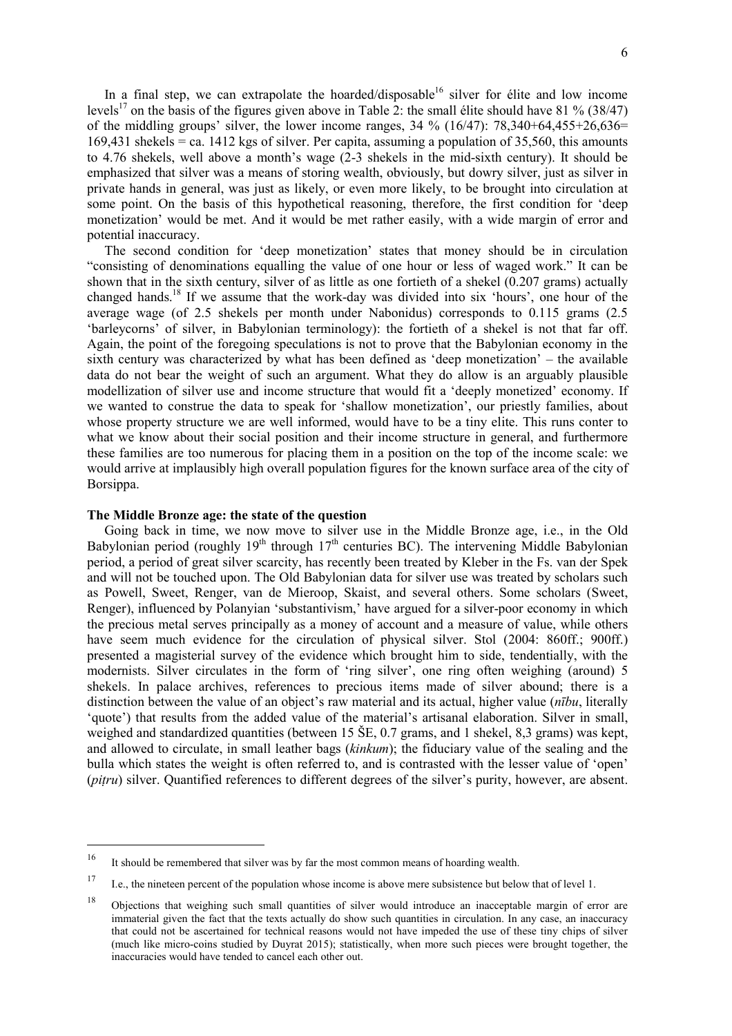In a final step, we can extrapolate the hoarded/disposable<sup>16</sup> silver for élite and low income levels<sup>17</sup> on the basis of the figures given above in Table 2: the small élite should have 81 % (38/47) of the middling groups' silver, the lower income ranges,  $34\%$  (16/47):  $78,340+64,455+26,636=$ 169,431 shekels = ca. 1412 kgs of silver. Per capita, assuming a population of 35,560, this amounts to 4.76 shekels, well above a month's wage (2-3 shekels in the mid-sixth century). It should be emphasized that silver was a means of storing wealth, obviously, but dowry silver, just as silver in private hands in general, was just as likely, or even more likely, to be brought into circulation at some point. On the basis of this hypothetical reasoning, therefore, the first condition for 'deep monetization' would be met. And it would be met rather easily, with a wide margin of error and potential inaccuracy.

The second condition for 'deep monetization' states that money should be in circulation "consisting of denominations equalling the value of one hour or less of waged work." It can be shown that in the sixth century, silver of as little as one fortieth of a shekel (0.207 grams) actually changed hands.<sup>18</sup> If we assume that the work-day was divided into six 'hours', one hour of the average wage (of 2.5 shekels per month under Nabonidus) corresponds to 0.115 grams (2.5 'barleycorns' of silver, in Babylonian terminology): the fortieth of a shekel is not that far off. Again, the point of the foregoing speculations is not to prove that the Babylonian economy in the sixth century was characterized by what has been defined as 'deep monetization' – the available data do not bear the weight of such an argument. What they do allow is an arguably plausible modellization of silver use and income structure that would fit a 'deeply monetized' economy. If we wanted to construe the data to speak for 'shallow monetization', our priestly families, about whose property structure we are well informed, would have to be a tiny elite. This runs conter to what we know about their social position and their income structure in general, and furthermore these families are too numerous for placing them in a position on the top of the income scale: we would arrive at implausibly high overall population figures for the known surface area of the city of Borsippa.

# **The Middle Bronze age: the state of the question**

l

Going back in time, we now move to silver use in the Middle Bronze age, i.e., in the Old Babylonian period (roughly  $19<sup>th</sup>$  through  $17<sup>th</sup>$  centuries BC). The intervening Middle Babylonian period, a period of great silver scarcity, has recently been treated by Kleber in the Fs. van der Spek and will not be touched upon. The Old Babylonian data for silver use was treated by scholars such as Powell, Sweet, Renger, van de Mieroop, Skaist, and several others. Some scholars (Sweet, Renger), influenced by Polanyian 'substantivism,' have argued for a silver-poor economy in which the precious metal serves principally as a money of account and a measure of value, while others have seem much evidence for the circulation of physical silver. Stol (2004: 860ff.; 900ff.) presented a magisterial survey of the evidence which brought him to side, tendentially, with the modernists. Silver circulates in the form of 'ring silver', one ring often weighing (around) 5 shekels. In palace archives, references to precious items made of silver abound; there is a distinction between the value of an object's raw material and its actual, higher value (*nību*, literally 'quote') that results from the added value of the material's artisanal elaboration. Silver in small, weighed and standardized quantities (between 15 ŠE, 0.7 grams, and 1 shekel, 8,3 grams) was kept, and allowed to circulate, in small leather bags (*kinkum*); the fiduciary value of the sealing and the bulla which states the weight is often referred to, and is contrasted with the lesser value of 'open' (*pitru*) silver. Quantified references to different degrees of the silver's purity, however, are absent.

<sup>&</sup>lt;sup>16</sup> It should be remembered that silver was by far the most common means of hoarding wealth.

<sup>&</sup>lt;sup>17</sup> I.e., the nineteen percent of the population whose income is above mere subsistence but below that of level 1.

<sup>&</sup>lt;sup>18</sup> Objections that weighing such small quantities of silver would introduce an inacceptable margin of error are immaterial given the fact that the texts actually do show such quantities in circulation. In any case, an inaccuracy that could not be ascertained for technical reasons would not have impeded the use of these tiny chips of silver (much like micro-coins studied by Duyrat 2015); statistically, when more such pieces were brought together, the inaccuracies would have tended to cancel each other out.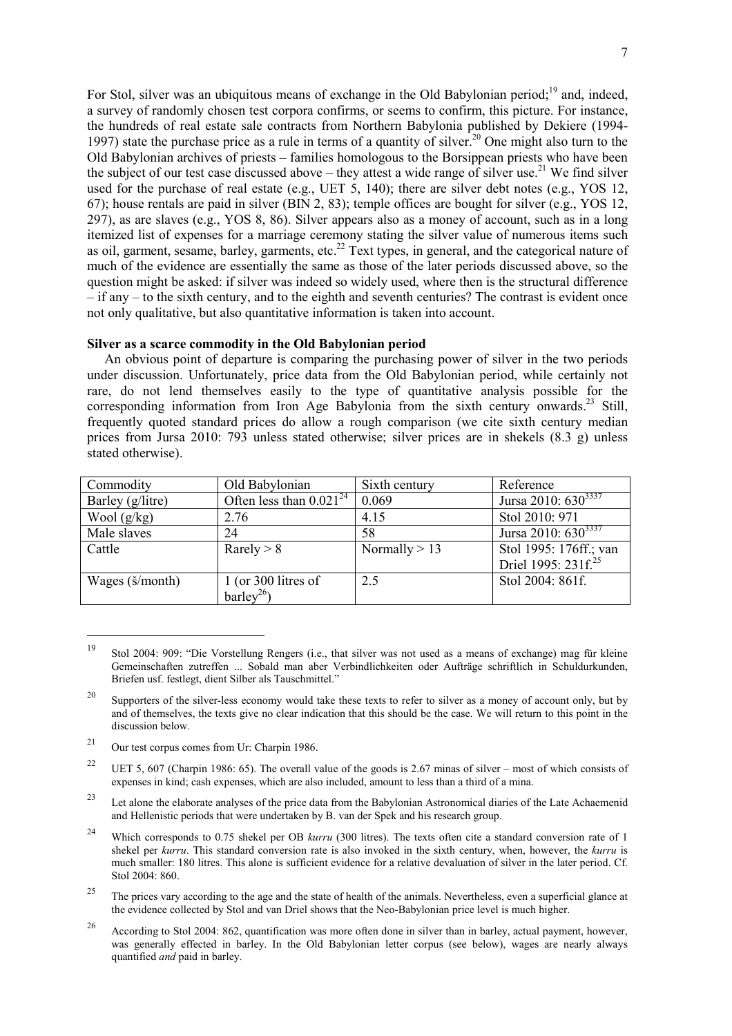For Stol, silver was an ubiquitous means of exchange in the Old Babylonian period;<sup>19</sup> and, indeed, a survey of randomly chosen test corpora confirms, or seems to confirm, this picture. For instance, the hundreds of real estate sale contracts from Northern Babylonia published by Dekiere (1994- 1997) state the purchase price as a rule in terms of a quantity of silver.<sup>20</sup> One might also turn to the Old Babylonian archives of priests – families homologous to the Borsippean priests who have been the subject of our test case discussed above – they attest a wide range of silver use.<sup>21</sup> We find silver used for the purchase of real estate (e.g., UET 5, 140); there are silver debt notes (e.g., YOS 12, 67); house rentals are paid in silver (BIN 2, 83); temple offices are bought for silver (e.g., YOS 12, 297), as are slaves (e.g., YOS 8, 86). Silver appears also as a money of account, such as in a long itemized list of expenses for a marriage ceremony stating the silver value of numerous items such as oil, garment, sesame, barley, garments, etc.<sup>22</sup> Text types, in general, and the categorical nature of much of the evidence are essentially the same as those of the later periods discussed above, so the question might be asked: if silver was indeed so widely used, where then is the structural difference – if any – to the sixth century, and to the eighth and seventh centuries? The contrast is evident once not only qualitative, but also quantitative information is taken into account.

# **Silver as a scarce commodity in the Old Babylonian period**

An obvious point of departure is comparing the purchasing power of silver in the two periods under discussion. Unfortunately, price data from the Old Babylonian period, while certainly not rare, do not lend themselves easily to the type of quantitative analysis possible for the corresponding information from Iron Age Babylonia from the sixth century onwards.<sup>23</sup> Still, frequently quoted standard prices do allow a rough comparison (we cite sixth century median prices from Jursa 2010: 793 unless stated otherwise; silver prices are in shekels (8.3 g) unless stated otherwise).

| Commodity        | Old Babylonian               | Sixth century   | Reference                       |
|------------------|------------------------------|-----------------|---------------------------------|
| Barley (g/litre) | Often less than $0.021^{24}$ | 0.069           | Jursa 2010: $630^{3337}$        |
| Wool $(g/kg)$    | 2.76                         | 4.15            | Stol 2010: 971                  |
| Male slaves      | 24                           | 58              | Jursa 2010: $\sqrt{630^{3337}}$ |
| Cattle           | Rarely $> 8$                 | Normally $> 13$ | Stol 1995: 176ff.; van          |
|                  |                              |                 | Driel 1995: 231f. <sup>25</sup> |
| Wages (š/month)  | 1 (or 300 litres of          | 2.5             | Stol 2004: 861f.                |
|                  | $barley^{26}$                |                 |                                 |

<sup>19</sup> Stol 2004: 909: "Die Vorstellung Rengers (i.e., that silver was not used as a means of exchange) mag für kleine Gemeinschaften zutreffen ... Sobald man aber Verbindlichkeiten oder Aufträge schriftlich in Schuldurkunden, Briefen usf. festlegt, dient Silber als Tauschmittel."

<sup>&</sup>lt;sup>20</sup> Supporters of the silver-less economy would take these texts to refer to silver as a money of account only, but by and of themselves, the texts give no clear indication that this should be the case. We will return to this point in the discussion below.

<sup>21</sup> Our test corpus comes from Ur: Charpin 1986.

<sup>&</sup>lt;sup>22</sup> UET 5, 607 (Charpin 1986: 65). The overall value of the goods is 2.67 minas of silver – most of which consists of expenses in kind; cash expenses, which are also included, amount to less than a third of a mina.

<sup>&</sup>lt;sup>23</sup> Let alone the elaborate analyses of the price data from the Babylonian Astronomical diaries of the Late Achaemenid and Hellenistic periods that were undertaken by B. van der Spek and his research group.

<sup>&</sup>lt;sup>24</sup> Which corresponds to 0.75 shekel per OB *kurru* (300 litres). The texts often cite a standard conversion rate of 1 shekel per *kurru*. This standard conversion rate is also invoked in the sixth century, when, however, the *kurru* is much smaller: 180 litres. This alone is sufficient evidence for a relative devaluation of silver in the later period. Cf. Stol 2004: 860.

<sup>&</sup>lt;sup>25</sup> The prices vary according to the age and the state of health of the animals. Nevertheless, even a superficial glance at the evidence collected by Stol and van Driel shows that the Neo-Babylonian price level is much higher.

<sup>&</sup>lt;sup>26</sup> According to Stol 2004: 862, quantification was more often done in silver than in barley, actual payment, however, was generally effected in barley. In the Old Babylonian letter corpus (see below), wages are nearly always quantified *and* paid in barley.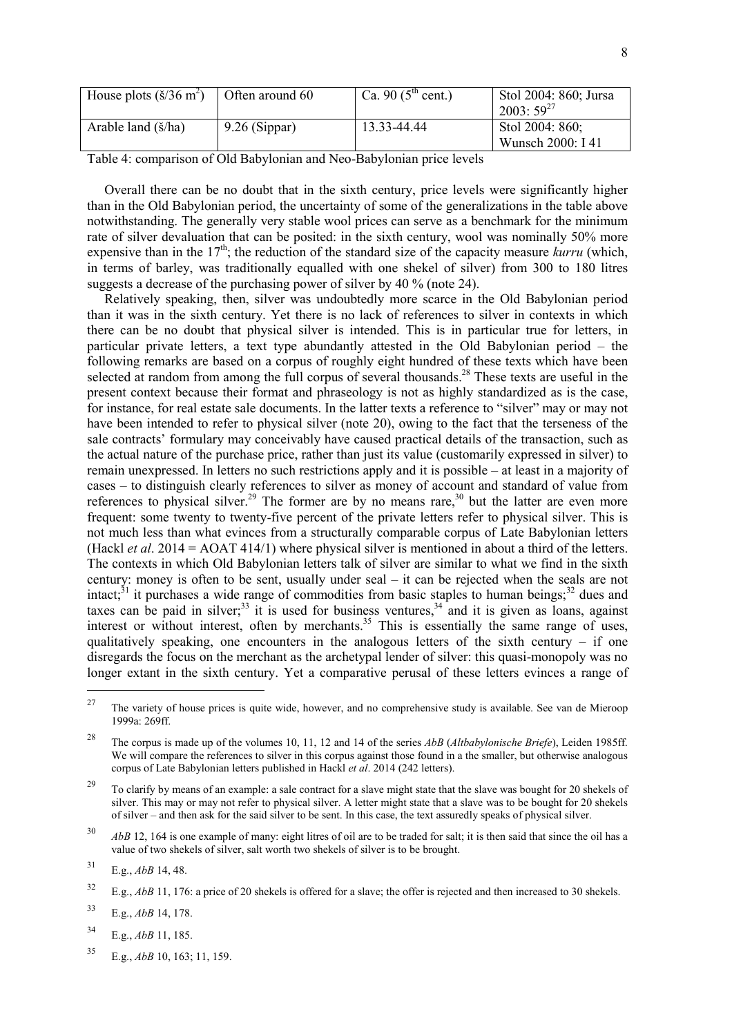| House plots $(\frac{5}{36} \text{ m}^2)$ | Often around 60 | Ca. 90 $(5^{th}$ cent.) | Stol 2004: 860; Jursa<br>2003: $59^{27}$ |
|------------------------------------------|-----------------|-------------------------|------------------------------------------|
| Arable land (š/ha)                       | $9.26$ (Sippar) | 13.33-44.44             | Stol $2004:860$ ;<br>Wunsch 2000: I 41   |

Table 4: comparison of Old Babylonian and Neo-Babylonian price levels

Overall there can be no doubt that in the sixth century, price levels were significantly higher than in the Old Babylonian period, the uncertainty of some of the generalizations in the table above notwithstanding. The generally very stable wool prices can serve as a benchmark for the minimum rate of silver devaluation that can be posited: in the sixth century, wool was nominally 50% more expensive than in the 17<sup>th</sup>; the reduction of the standard size of the capacity measure *kurru* (which, in terms of barley, was traditionally equalled with one shekel of silver) from 300 to 180 litres suggests a decrease of the purchasing power of silver by 40 % (note 24).

Relatively speaking, then, silver was undoubtedly more scarce in the Old Babylonian period than it was in the sixth century. Yet there is no lack of references to silver in contexts in which there can be no doubt that physical silver is intended. This is in particular true for letters, in particular private letters, a text type abundantly attested in the Old Babylonian period – the following remarks are based on a corpus of roughly eight hundred of these texts which have been selected at random from among the full corpus of several thousands.<sup>28</sup> These texts are useful in the present context because their format and phraseology is not as highly standardized as is the case, for instance, for real estate sale documents. In the latter texts a reference to "silver" may or may not have been intended to refer to physical silver (note 20), owing to the fact that the terseness of the sale contracts' formulary may conceivably have caused practical details of the transaction, such as the actual nature of the purchase price, rather than just its value (customarily expressed in silver) to remain unexpressed. In letters no such restrictions apply and it is possible – at least in a majority of cases – to distinguish clearly references to silver as money of account and standard of value from references to physical silver.<sup>29</sup> The former are by no means rare,<sup>30</sup> but the latter are even more frequent: some twenty to twenty-five percent of the private letters refer to physical silver. This is not much less than what evinces from a structurally comparable corpus of Late Babylonian letters (Hackl *et al*. 2014 = AOAT 414/1) where physical silver is mentioned in about a third of the letters. The contexts in which Old Babylonian letters talk of silver are similar to what we find in the sixth century: money is often to be sent, usually under seal – it can be rejected when the seals are not intact;<sup>31</sup> it purchases a wide range of commodities from basic staples to human beings;<sup>32</sup> dues and taxes can be paid in silver;<sup>33</sup> it is used for business ventures,<sup>34</sup> and it is given as loans, against interest or without interest, often by merchants.<sup>35</sup> This is essentially the same range of uses, qualitatively speaking, one encounters in the analogous letters of the sixth century – if one disregards the focus on the merchant as the archetypal lender of silver: this quasi-monopoly was no longer extant in the sixth century. Yet a comparative perusal of these letters evinces a range of

30 *AbB* 12, 164 is one example of many: eight litres of oil are to be traded for salt; it is then said that since the oil has a value of two shekels of silver, salt worth two shekels of silver is to be brought.

<sup>31</sup> E.g., *AbB* 14, 48.

-

<sup>33</sup> E.g., *AbB* 14, 178.

<sup>35</sup> E.g., *AbB* 10, 163; 11, 159.

<sup>&</sup>lt;sup>27</sup> The variety of house prices is quite wide, however, and no comprehensive study is available. See van de Mieroop 1999a: 269ff.

<sup>28</sup> The corpus is made up of the volumes 10, 11, 12 and 14 of the series *AbB* (*Altbabylonische Briefe*), Leiden 1985ff. We will compare the references to silver in this corpus against those found in a the smaller, but otherwise analogous corpus of Late Babylonian letters published in Hackl *et al*. 2014 (242 letters).

<sup>&</sup>lt;sup>29</sup> To clarify by means of an example: a sale contract for a slave might state that the slave was bought for 20 shekels of silver. This may or may not refer to physical silver. A letter might state that a slave was to be bought for 20 shekels of silver – and then ask for the said silver to be sent. In this case, the text assuredly speaks of physical silver.

<sup>&</sup>lt;sup>32</sup> E.g., *AbB* 11, 176: a price of 20 shekels is offered for a slave; the offer is rejected and then increased to 30 shekels.

<sup>34</sup> E.g., *AbB* 11, 185.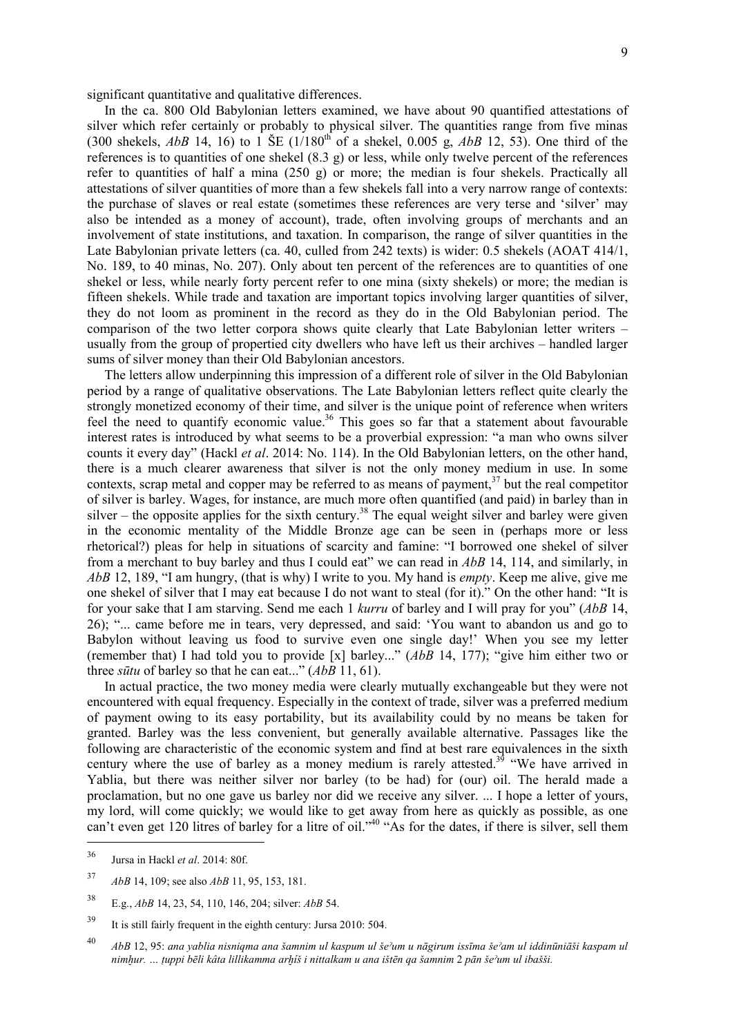significant quantitative and qualitative differences.

In the ca. 800 Old Babylonian letters examined, we have about 90 quantified attestations of silver which refer certainly or probably to physical silver. The quantities range from five minas (300 shekels,  $AbB$  14, 16) to 1  $\text{SE}$  (1/180<sup>th</sup> of a shekel, 0.005 g,  $AbB$  12, 53). One third of the references is to quantities of one shekel  $(8.3 \text{ g})$  or less, while only twelve percent of the references refer to quantities of half a mina  $(250 \text{ g})$  or more; the median is four shekels. Practically all attestations of silver quantities of more than a few shekels fall into a very narrow range of contexts: the purchase of slaves or real estate (sometimes these references are very terse and 'silver' may also be intended as a money of account), trade, often involving groups of merchants and an involvement of state institutions, and taxation. In comparison, the range of silver quantities in the Late Babylonian private letters (ca. 40, culled from 242 texts) is wider: 0.5 shekels (AOAT 414/1, No. 189, to 40 minas, No. 207). Only about ten percent of the references are to quantities of one shekel or less, while nearly forty percent refer to one mina (sixty shekels) or more; the median is fifteen shekels. While trade and taxation are important topics involving larger quantities of silver, they do not loom as prominent in the record as they do in the Old Babylonian period. The comparison of the two letter corpora shows quite clearly that Late Babylonian letter writers – usually from the group of propertied city dwellers who have left us their archives – handled larger sums of silver money than their Old Babylonian ancestors.

The letters allow underpinning this impression of a different role of silver in the Old Babylonian period by a range of qualitative observations. The Late Babylonian letters reflect quite clearly the strongly monetized economy of their time, and silver is the unique point of reference when writers feel the need to quantify economic value.<sup>36</sup> This goes so far that a statement about favourable interest rates is introduced by what seems to be a proverbial expression: "a man who owns silver counts it every day" (Hackl *et al*. 2014: No. 114). In the Old Babylonian letters, on the other hand, there is a much clearer awareness that silver is not the only money medium in use. In some contexts, scrap metal and copper may be referred to as means of payment,<sup>37</sup> but the real competitor of silver is barley. Wages, for instance, are much more often quantified (and paid) in barley than in silver – the opposite applies for the sixth century.<sup>38</sup> The equal weight silver and barley were given in the economic mentality of the Middle Bronze age can be seen in (perhaps more or less rhetorical?) pleas for help in situations of scarcity and famine: "I borrowed one shekel of silver from a merchant to buy barley and thus I could eat" we can read in *AbB* 14, 114, and similarly, in *AbB* 12, 189, "I am hungry, (that is why) I write to you. My hand is *empty*. Keep me alive, give me one shekel of silver that I may eat because I do not want to steal (for it)." On the other hand: "It is for your sake that I am starving. Send me each 1 *kurru* of barley and I will pray for you" (*AbB* 14, 26); "... came before me in tears, very depressed, and said: 'You want to abandon us and go to Babylon without leaving us food to survive even one single day!' When you see my letter (remember that) I had told you to provide [x] barley..." (*AbB* 14, 177); "give him either two or three *sūtu* of barley so that he can eat..." (*AbB* 11, 61).

In actual practice, the two money media were clearly mutually exchangeable but they were not encountered with equal frequency. Especially in the context of trade, silver was a preferred medium of payment owing to its easy portability, but its availability could by no means be taken for granted. Barley was the less convenient, but generally available alternative. Passages like the following are characteristic of the economic system and find at best rare equivalences in the sixth century where the use of barley as a money medium is rarely attested.<sup>39</sup> "We have arrived in Yablia, but there was neither silver nor barley (to be had) for (our) oil. The herald made a proclamation, but no one gave us barley nor did we receive any silver. ... I hope a letter of yours, my lord, will come quickly; we would like to get away from here as quickly as possible, as one can't even get 120 litres of barley for a litre of oil."<sup>40</sup> "As for the dates, if there is silver, sell them

j

<sup>36</sup> Jursa in Hackl *et al*. 2014: 80f.

<sup>37</sup> *AbB* 14, 109; see also *AbB* 11, 95, 153, 181.

<sup>38</sup> E.g., *AbB* 14, 23, 54, 110, 146, 204; silver: *AbB* 54.

<sup>39</sup> It is still fairly frequent in the eighth century: Jursa 2010: 504.

<sup>40</sup> *AbB* 12, 95: *ana yablia nisniqma ana šamnim ul kaspum ul šeˀum u nāgirum issīma šeˀam ul iddinūniāši kaspam ul nimḫur. … ṭuppi bēli kâta lillikamma arḫíš i nittalkam u ana ištēn qa šamnim* 2 *pān šeˀum ul ibašši.*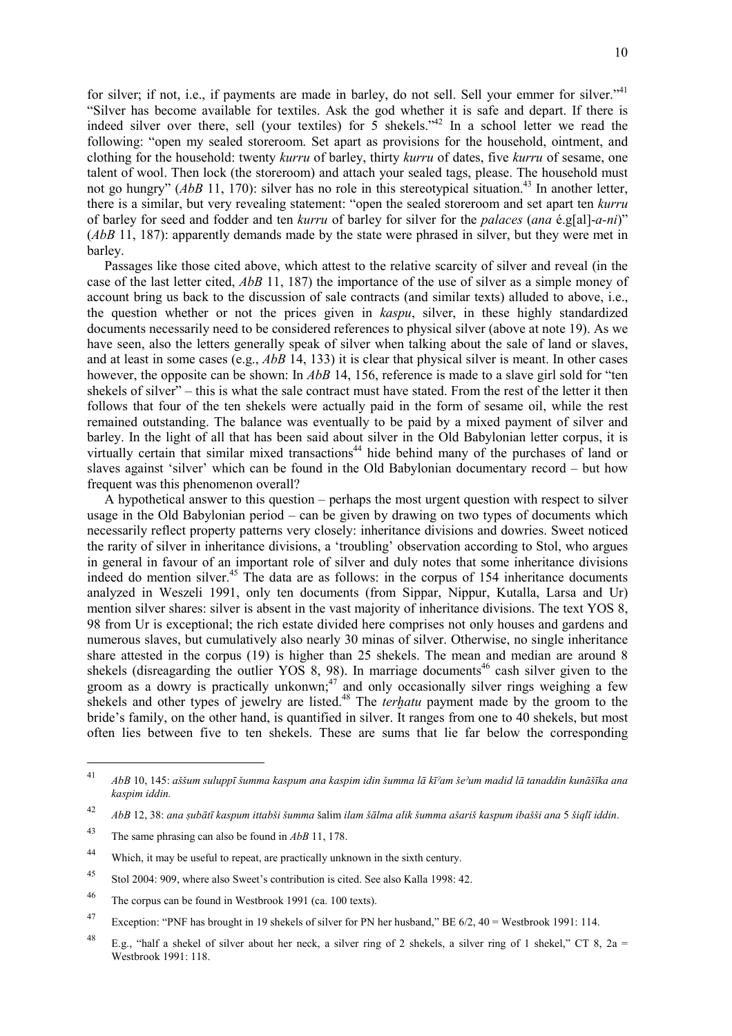for silver; if not, i.e., if payments are made in barley, do not sell. Sell your emmer for silver."<sup>41</sup> "Silver has become available for textiles. Ask the god whether it is safe and depart. If there is indeed silver over there, sell (your textiles) for 5 shekels."<sup>42</sup> In a school letter we read the following: "open my sealed storeroom. Set apart as provisions for the household, ointment, and clothing for the household: twenty *kurru* of barley, thirty *kurru* of dates, five *kurru* of sesame, one talent of wool. Then lock (the storeroom) and attach your sealed tags, please. The household must not go hungry" (*AbB* 11, 170): silver has no role in this stereotypical situation.<sup>43</sup> In another letter, there is a similar, but very revealing statement: "open the sealed storeroom and set apart ten *kurru*  of barley for seed and fodder and ten *kurru* of barley for silver for the *palaces* (*ana* é.g[al]-*a-ni*)" (*AbB* 11, 187): apparently demands made by the state were phrased in silver, but they were met in barley.

Passages like those cited above, which attest to the relative scarcity of silver and reveal (in the case of the last letter cited, *AbB* 11, 187) the importance of the use of silver as a simple money of account bring us back to the discussion of sale contracts (and similar texts) alluded to above, i.e., the question whether or not the prices given in *kaspu*, silver, in these highly standardized documents necessarily need to be considered references to physical silver (above at note 19). As we have seen, also the letters generally speak of silver when talking about the sale of land or slaves, and at least in some cases (e.g., *AbB* 14, 133) it is clear that physical silver is meant. In other cases however, the opposite can be shown: In *AbB* 14, 156, reference is made to a slave girl sold for "ten shekels of silver" – this is what the sale contract must have stated. From the rest of the letter it then follows that four of the ten shekels were actually paid in the form of sesame oil, while the rest remained outstanding. The balance was eventually to be paid by a mixed payment of silver and barley. In the light of all that has been said about silver in the Old Babylonian letter corpus, it is virtually certain that similar mixed transactions<sup>44</sup> hide behind many of the purchases of land or slaves against 'silver' which can be found in the Old Babylonian documentary record – but how frequent was this phenomenon overall?

A hypothetical answer to this question – perhaps the most urgent question with respect to silver usage in the Old Babylonian period – can be given by drawing on two types of documents which necessarily reflect property patterns very closely: inheritance divisions and dowries. Sweet noticed the rarity of silver in inheritance divisions, a 'troubling' observation according to Stol, who argues in general in favour of an important role of silver and duly notes that some inheritance divisions indeed do mention silver.<sup>45</sup> The data are as follows: in the corpus of 154 inheritance documents analyzed in Weszeli 1991, only ten documents (from Sippar, Nippur, Kutalla, Larsa and Ur) mention silver shares: silver is absent in the vast majority of inheritance divisions. The text YOS 8, 98 from Ur is exceptional; the rich estate divided here comprises not only houses and gardens and numerous slaves, but cumulatively also nearly 30 minas of silver. Otherwise, no single inheritance share attested in the corpus (19) is higher than 25 shekels. The mean and median are around 8 shekels (disreagarding the outlier YOS  $8$ , 98). In marriage documents<sup>46</sup> cash silver given to the groom as a dowry is practically unkonwn;<sup>47</sup> and only occasionally silver rings weighing a few shekels and other types of jewelry are listed.<sup>48</sup> The *terhatu* payment made by the groom to the bride's family, on the other hand, is quantified in silver. It ranges from one to 40 shekels, but most often lies between five to ten shekels. These are sums that lie far below the corresponding

j

<sup>41</sup> *AbB* 10, 145: *aššum suluppī šumma kaspum ana kaspim idin šumma lā kīˀam šeˀum madid lā tanaddin kunāšīka ana kaspim iddin.*

<sup>42</sup> *AbB* 12, 38: *ana ṣubātī kaspum ittabši šumma* šalim *ilam šālma alik šumma ašariš kaspum ibašši ana* 5 *šiqlī iddin*.

<sup>43</sup> The same phrasing can also be found in *AbB* 11, 178.

<sup>44</sup> Which, it may be useful to repeat, are practically unknown in the sixth century.

<sup>45</sup> Stol 2004: 909, where also Sweet's contribution is cited. See also Kalla 1998: 42.

<sup>46</sup> The corpus can be found in Westbrook 1991 (ca. 100 texts).

<sup>47</sup> Exception: "PNF has brought in 19 shekels of silver for PN her husband," BE 6/2, 40 = Westbrook 1991: 114.

<sup>&</sup>lt;sup>48</sup> E.g., "half a shekel of silver about her neck, a silver ring of 2 shekels, a silver ring of 1 shekel," CT 8, 2a = Westbrook 1991: 118.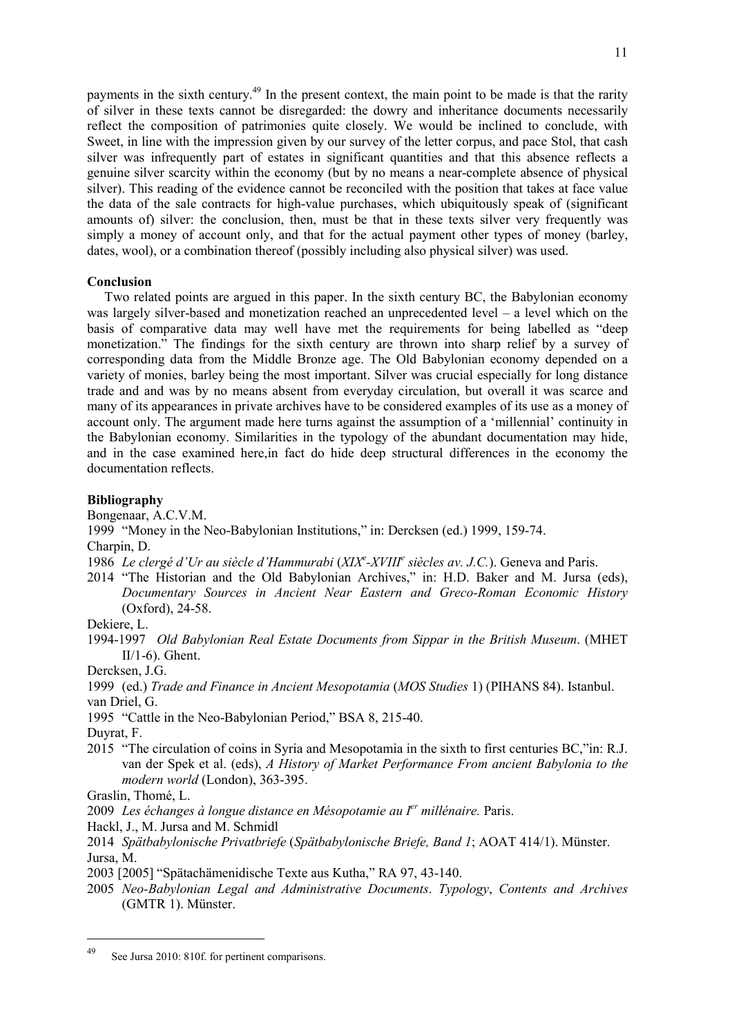payments in the sixth century.<sup>49</sup> In the present context, the main point to be made is that the rarity of silver in these texts cannot be disregarded: the dowry and inheritance documents necessarily reflect the composition of patrimonies quite closely. We would be inclined to conclude, with Sweet, in line with the impression given by our survey of the letter corpus, and pace Stol, that cash silver was infrequently part of estates in significant quantities and that this absence reflects a genuine silver scarcity within the economy (but by no means a near-complete absence of physical silver). This reading of the evidence cannot be reconciled with the position that takes at face value the data of the sale contracts for high-value purchases, which ubiquitously speak of (significant amounts of) silver: the conclusion, then, must be that in these texts silver very frequently was simply a money of account only, and that for the actual payment other types of money (barley, dates, wool), or a combination thereof (possibly including also physical silver) was used.

## **Conclusion**

Two related points are argued in this paper. In the sixth century BC, the Babylonian economy was largely silver-based and monetization reached an unprecedented level – a level which on the basis of comparative data may well have met the requirements for being labelled as "deep monetization." The findings for the sixth century are thrown into sharp relief by a survey of corresponding data from the Middle Bronze age. The Old Babylonian economy depended on a variety of monies, barley being the most important. Silver was crucial especially for long distance trade and and was by no means absent from everyday circulation, but overall it was scarce and many of its appearances in private archives have to be considered examples of its use as a money of account only. The argument made here turns against the assumption of a 'millennial' continuity in the Babylonian economy. Similarities in the typology of the abundant documentation may hide, and in the case examined here,in fact do hide deep structural differences in the economy the documentation reflects.

## **Bibliography**

Bongenaar, A.C.V.M.

1999 "Money in the Neo-Babylonian Institutions," in: Dercksen (ed.) 1999, 159-74.

Charpin, D.

- 1986 *Le clergé d'Ur au siècle d'Hammurabi* (*XIX<sup>e</sup> -XVIII<sup>e</sup> siècles av. J.C.*). Geneva and Paris.
- 2014 "The Historian and the Old Babylonian Archives," in: H.D. Baker and M. Jursa (eds), *Documentary Sources in Ancient Near Eastern and Greco-Roman Economic History* (Oxford), 24-58.
- Dekiere, L.
- 1994-1997 *Old Babylonian Real Estate Documents from Sippar in the British Museum*. (MHET II/1-6). Ghent.
- Dercksen, J.G.
- 1999 (ed.) *Trade and Finance in Ancient Mesopotamia* (*MOS Studies* 1) (PIHANS 84). Istanbul. van Driel, G.
- 1995 "Cattle in the Neo-Babylonian Period," BSA 8, 215-40.

Duyrat, F.

-

2015 "The circulation of coins in Syria and Mesopotamia in the sixth to first centuries BC,"in: R.J. van der Spek et al. (eds), *A History of Market Performance From ancient Babylonia to the modern world* (London), 363-395.

Graslin, Thomé, L.

Hackl, J., M. Jursa and M. Schmidl

2014 *Spätbabylonische Privatbriefe* (*Spätbabylonische Briefe, Band 1*; AOAT 414/1). Münster. Jursa, M.

2003 [2005] "Spätachämenidische Texte aus Kutha," RA 97, 43-140.

2005 *Neo-Babylonian Legal and Administrative Documents*. *Typology*, *Contents and Archives* (GMTR 1). Münster.

<sup>2009</sup> *Les échanges à longue distance en Mésopotamie au Ier millénaire.* Paris.

<sup>11</sup> 

<sup>49</sup> See Jursa 2010: 810f. for pertinent comparisons.